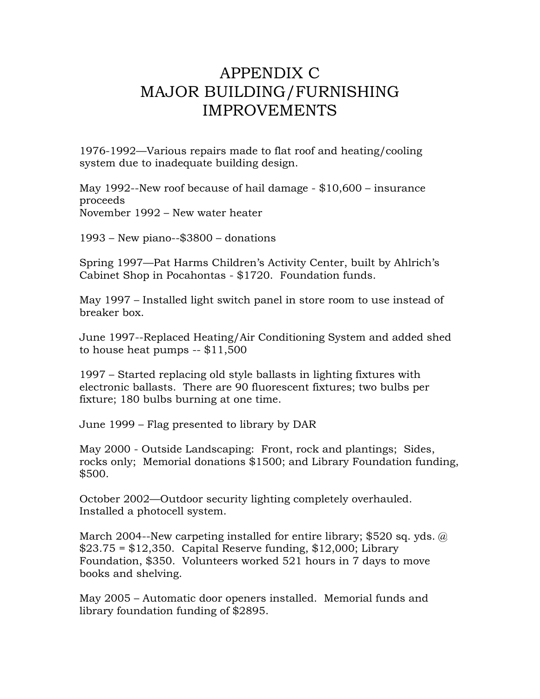## APPENDIX C MAJOR BUILDING/FURNISHING IMPROVEMENTS

1976-1992—Various repairs made to flat roof and heating/cooling system due to inadequate building design.

May 1992--New roof because of hail damage - \$10,600 – insurance proceeds November 1992 – New water heater

1993 – New piano--\$3800 – donations

Spring 1997—Pat Harms Children's Activity Center, built by Ahlrich's Cabinet Shop in Pocahontas - \$1720. Foundation funds.

May 1997 – Installed light switch panel in store room to use instead of breaker box.

June 1997--Replaced Heating/Air Conditioning System and added shed to house heat pumps -- \$11,500

1997 – Started replacing old style ballasts in lighting fixtures with electronic ballasts. There are 90 fluorescent fixtures; two bulbs per fixture; 180 bulbs burning at one time.

June 1999 – Flag presented to library by DAR

May 2000 - Outside Landscaping: Front, rock and plantings; Sides, rocks only; Memorial donations \$1500; and Library Foundation funding, \$500.

October 2002—Outdoor security lighting completely overhauled. Installed a photocell system.

March 2004--New carpeting installed for entire library; \$520 sq. yds.  $\omega$  $$23.75 = $12,350$ . Capital Reserve funding,  $$12,000$ ; Library Foundation, \$350. Volunteers worked 521 hours in 7 days to move books and shelving.

May 2005 – Automatic door openers installed. Memorial funds and library foundation funding of \$2895.